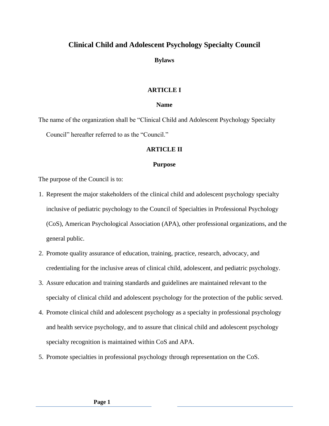# **Clinical Child and Adolescent Psychology Specialty Council**

**Bylaws** 

# **ARTICLE I**

# **Name**

The name of the organization shall be "Clinical Child and Adolescent Psychology Specialty Council" hereafter referred to as the "Council."

# **ARTICLE II**

# **Purpose**

The purpose of the Council is to:

- 1. Represent the major stakeholders of the clinical child and adolescent psychology specialty inclusive of pediatric psychology to the Council of Specialties in Professional Psychology (CoS), American Psychological Association (APA), other professional organizations, and the general public.
- 2. Promote quality assurance of education, training, practice, research, advocacy, and credentialing for the inclusive areas of clinical child, adolescent, and pediatric psychology.
- 3. Assure education and training standards and guidelines are maintained relevant to the specialty of clinical child and adolescent psychology for the protection of the public served.
- 4. Promote clinical child and adolescent psychology as a specialty in professional psychology and health service psychology, and to assure that clinical child and adolescent psychology specialty recognition is maintained within CoS and APA.
- 5. Promote specialties in professional psychology through representation on the CoS.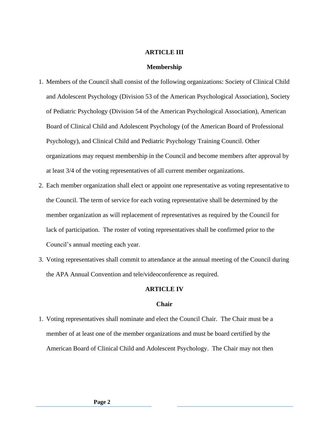#### **ARTICLE III**

#### **Membership**

- 1. Members of the Council shall consist of the following organizations: Society of Clinical Child and Adolescent Psychology (Division 53 of the American Psychological Association), Society of Pediatric Psychology (Division 54 of the American Psychological Association), American Board of Clinical Child and Adolescent Psychology (of the American Board of Professional Psychology), and Clinical Child and Pediatric Psychology Training Council. Other organizations may request membership in the Council and become members after approval by at least 3/4 of the voting representatives of all current member organizations.
- 2. Each member organization shall elect or appoint one representative as voting representative to the Council. The term of service for each voting representative shall be determined by the member organization as will replacement of representatives as required by the Council for lack of participation. The roster of voting representatives shall be confirmed prior to the Council's annual meeting each year.
- 3. Voting representatives shall commit to attendance at the annual meeting of the Council during the APA Annual Convention and tele/videoconference as required.

#### **ARTICLE IV**

#### **Chair**

1. Voting representatives shall nominate and elect the Council Chair. The Chair must be a member of at least one of the member organizations and must be board certified by the American Board of Clinical Child and Adolescent Psychology. The Chair may not then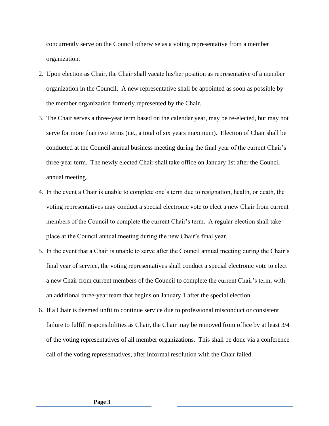concurrently serve on the Council otherwise as a voting representative from a member organization.

- 2. Upon election as Chair, the Chair shall vacate his/her position as representative of a member organization in the Council. A new representative shall be appointed as soon as possible by the member organization formerly represented by the Chair.
- 3. The Chair serves a three-year term based on the calendar year, may be re-elected, but may not serve for more than two terms (i.e., a total of six years maximum). Election of Chair shall be conducted at the Council annual business meeting during the final year of the current Chair's three-year term. The newly elected Chair shall take office on January 1st after the Council annual meeting.
- 4. In the event a Chair is unable to complete one's term due to resignation, health, or death, the voting representatives may conduct a special electronic vote to elect a new Chair from current members of the Council to complete the current Chair's term. A regular election shall take place at the Council annual meeting during the new Chair's final year.
- 5. In the event that a Chair is unable to serve after the Council annual meeting during the Chair's final year of service, the voting representatives shall conduct a special electronic vote to elect a new Chair from current members of the Council to complete the current Chair's term, with an additional three-year team that begins on January 1 after the special election.
- 6. If a Chair is deemed unfit to continue service due to professional misconduct or consistent failure to fulfill responsibilities as Chair, the Chair may be removed from office by at least 3/4 of the voting representatives of all member organizations. This shall be done via a conference call of the voting representatives, after informal resolution with the Chair failed.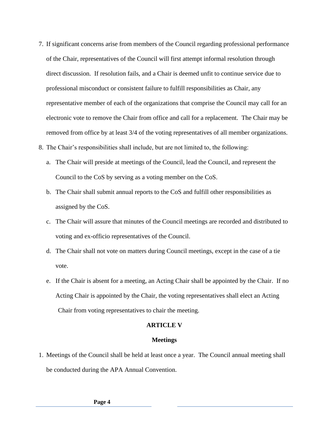- 7. If significant concerns arise from members of the Council regarding professional performance of the Chair, representatives of the Council will first attempt informal resolution through direct discussion. If resolution fails, and a Chair is deemed unfit to continue service due to professional misconduct or consistent failure to fulfill responsibilities as Chair, any representative member of each of the organizations that comprise the Council may call for an electronic vote to remove the Chair from office and call for a replacement. The Chair may be removed from office by at least 3/4 of the voting representatives of all member organizations.
- 8. The Chair's responsibilities shall include, but are not limited to, the following:
	- a. The Chair will preside at meetings of the Council, lead the Council, and represent the Council to the CoS by serving as a voting member on the CoS.
	- b. The Chair shall submit annual reports to the CoS and fulfill other responsibilities as assigned by the CoS.
	- c. The Chair will assure that minutes of the Council meetings are recorded and distributed to voting and ex-officio representatives of the Council.
	- d. The Chair shall not vote on matters during Council meetings, except in the case of a tie vote.
	- e. If the Chair is absent for a meeting, an Acting Chair shall be appointed by the Chair. If no Acting Chair is appointed by the Chair, the voting representatives shall elect an Acting Chair from voting representatives to chair the meeting.

# **ARTICLE V**

### **Meetings**

1. Meetings of the Council shall be held at least once a year. The Council annual meeting shall be conducted during the APA Annual Convention.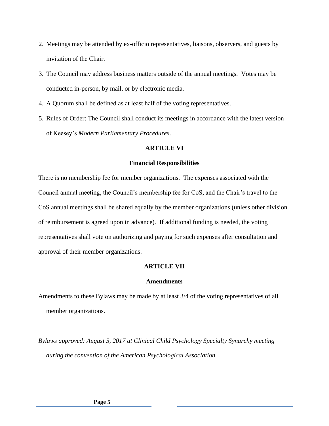- 2. Meetings may be attended by ex-officio representatives, liaisons, observers, and guests by invitation of the Chair.
- 3. The Council may address business matters outside of the annual meetings. Votes may be conducted in-person, by mail, or by electronic media.
- 4. A Quorum shall be defined as at least half of the voting representatives.
- 5. Rules of Order: The Council shall conduct its meetings in accordance with the latest version of Keesey's *Modern Parliamentary Procedures*.

# **ARTICLE VI**

#### **Financial Responsibilities**

There is no membership fee for member organizations. The expenses associated with the Council annual meeting, the Council's membership fee for CoS, and the Chair's travel to the CoS annual meetings shall be shared equally by the member organizations (unless other division of reimbursement is agreed upon in advance). If additional funding is needed, the voting representatives shall vote on authorizing and paying for such expenses after consultation and approval of their member organizations.

# **ARTICLE VII**

# **Amendments**

Amendments to these Bylaws may be made by at least 3/4 of the voting representatives of all member organizations.

*Bylaws approved: August 5, 2017 at Clinical Child Psychology Specialty Synarchy meeting during the convention of the American Psychological Association.*